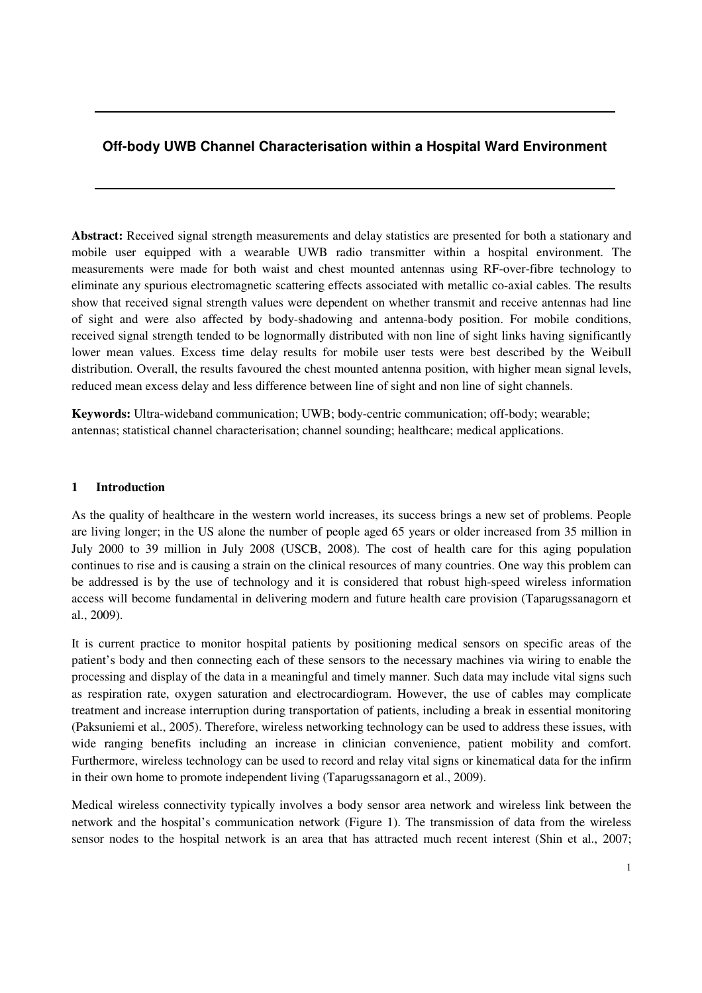# **Off-body UWB Channel Characterisation within a Hospital Ward Environment**

**Abstract:** Received signal strength measurements and delay statistics are presented for both a stationary and mobile user equipped with a wearable UWB radio transmitter within a hospital environment. The measurements were made for both waist and chest mounted antennas using RF-over-fibre technology to eliminate any spurious electromagnetic scattering effects associated with metallic co-axial cables. The results show that received signal strength values were dependent on whether transmit and receive antennas had line of sight and were also affected by body-shadowing and antenna-body position. For mobile conditions, received signal strength tended to be lognormally distributed with non line of sight links having significantly lower mean values. Excess time delay results for mobile user tests were best described by the Weibull distribution. Overall, the results favoured the chest mounted antenna position, with higher mean signal levels, reduced mean excess delay and less difference between line of sight and non line of sight channels.

**Keywords:** Ultra-wideband communication; UWB; body-centric communication; off-body; wearable; antennas; statistical channel characterisation; channel sounding; healthcare; medical applications.

### **1 Introduction**

As the quality of healthcare in the western world increases, its success brings a new set of problems. People are living longer; in the US alone the number of people aged 65 years or older increased from 35 million in July 2000 to 39 million in July 2008 (USCB, 2008). The cost of health care for this aging population continues to rise and is causing a strain on the clinical resources of many countries. One way this problem can be addressed is by the use of technology and it is considered that robust high-speed wireless information access will become fundamental in delivering modern and future health care provision (Taparugssanagorn et al., 2009).

It is current practice to monitor hospital patients by positioning medical sensors on specific areas of the patient's body and then connecting each of these sensors to the necessary machines via wiring to enable the processing and display of the data in a meaningful and timely manner. Such data may include vital signs such as respiration rate, oxygen saturation and electrocardiogram. However, the use of cables may complicate treatment and increase interruption during transportation of patients, including a break in essential monitoring (Paksuniemi et al., 2005). Therefore, wireless networking technology can be used to address these issues, with wide ranging benefits including an increase in clinician convenience, patient mobility and comfort. Furthermore, wireless technology can be used to record and relay vital signs or kinematical data for the infirm in their own home to promote independent living (Taparugssanagorn et al., 2009).

Medical wireless connectivity typically involves a body sensor area network and wireless link between the network and the hospital's communication network (Figure 1). The transmission of data from the wireless sensor nodes to the hospital network is an area that has attracted much recent interest (Shin et al., 2007;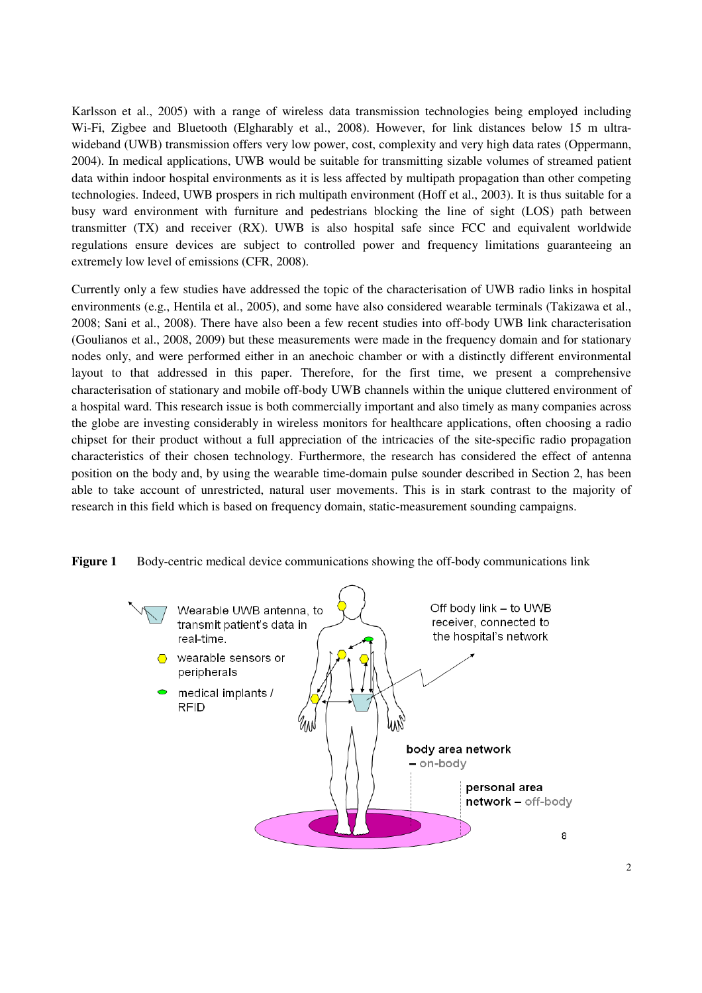Karlsson et al., 2005) with a range of wireless data transmission technologies being employed including Wi-Fi, Zigbee and Bluetooth (Elgharably et al., 2008). However, for link distances below 15 m ultrawideband (UWB) transmission offers very low power, cost, complexity and very high data rates (Oppermann, 2004). In medical applications, UWB would be suitable for transmitting sizable volumes of streamed patient data within indoor hospital environments as it is less affected by multipath propagation than other competing technologies. Indeed, UWB prospers in rich multipath environment (Hoff et al., 2003). It is thus suitable for a busy ward environment with furniture and pedestrians blocking the line of sight (LOS) path between transmitter (TX) and receiver (RX). UWB is also hospital safe since FCC and equivalent worldwide regulations ensure devices are subject to controlled power and frequency limitations guaranteeing an extremely low level of emissions (CFR, 2008).

Currently only a few studies have addressed the topic of the characterisation of UWB radio links in hospital environments (e.g., Hentila et al., 2005), and some have also considered wearable terminals (Takizawa et al., 2008; Sani et al., 2008). There have also been a few recent studies into off-body UWB link characterisation (Goulianos et al., 2008, 2009) but these measurements were made in the frequency domain and for stationary nodes only, and were performed either in an anechoic chamber or with a distinctly different environmental layout to that addressed in this paper. Therefore, for the first time, we present a comprehensive characterisation of stationary and mobile off-body UWB channels within the unique cluttered environment of a hospital ward. This research issue is both commercially important and also timely as many companies across the globe are investing considerably in wireless monitors for healthcare applications, often choosing a radio chipset for their product without a full appreciation of the intricacies of the site-specific radio propagation characteristics of their chosen technology. Furthermore, the research has considered the effect of antenna position on the body and, by using the wearable time-domain pulse sounder described in Section 2, has been able to take account of unrestricted, natural user movements. This is in stark contrast to the majority of research in this field which is based on frequency domain, static-measurement sounding campaigns.



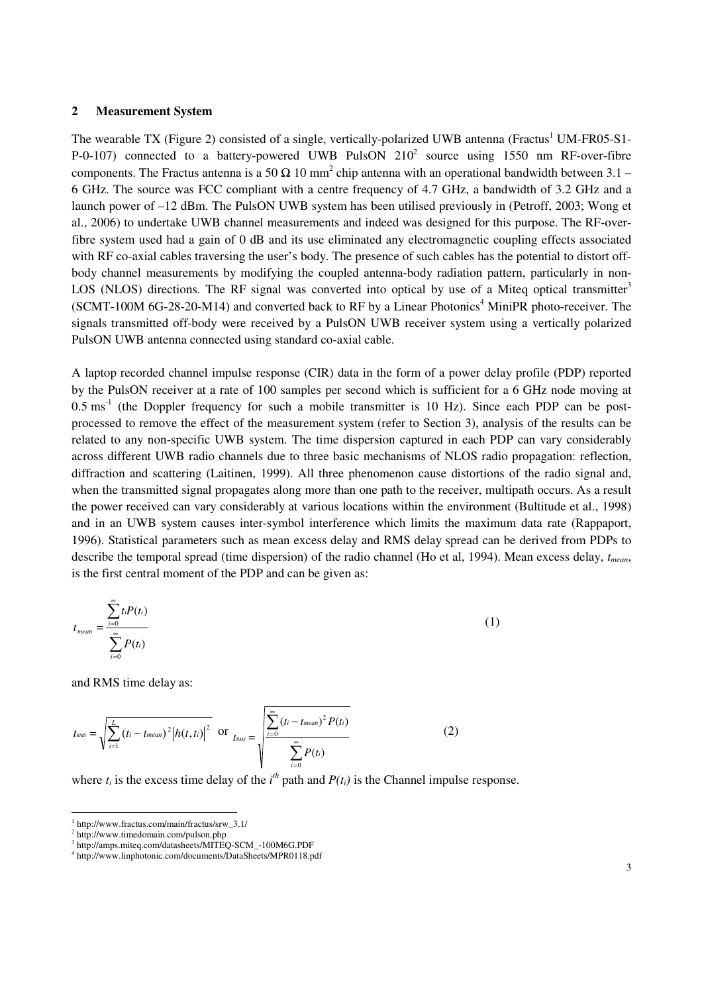### **2 Measurement System**

The wearable TX (Figure 2) consisted of a single, vertically-polarized UWB antenna (Fractus<sup>1</sup> UM-FR05-S1-P-0-107) connected to a battery-powered UWB PulsON  $210^2$  source using 1550 nm RF-over-fibre components. The Fractus antenna is a 50  $\Omega$  10 mm<sup>2</sup> chip antenna with an operational bandwidth between 3.1 – 6 GHz. The source was FCC compliant with a centre frequency of 4.7 GHz, a bandwidth of 3.2 GHz and a launch power of –12 dBm. The PulsON UWB system has been utilised previously in (Petroff, 2003; Wong et al., 2006) to undertake UWB channel measurements and indeed was designed for this purpose. The RF-overfibre system used had a gain of 0 dB and its use eliminated any electromagnetic coupling effects associated with RF co-axial cables traversing the user's body. The presence of such cables has the potential to distort offbody channel measurements by modifying the coupled antenna-body radiation pattern, particularly in non-LOS (NLOS) directions. The RF signal was converted into optical by use of a Miteq optical transmitter<sup>3</sup> (SCMT-100M 6G-28-20-M14) and converted back to RF by a Linear Photonics<sup>4</sup> MiniPR photo-receiver. The signals transmitted off-body were received by a PulsON UWB receiver system using a vertically polarized PulsON UWB antenna connected using standard co-axial cable.

A laptop recorded channel impulse response (CIR) data in the form of a power delay profile (PDP) reported by the PulsON receiver at a rate of 100 samples per second which is sufficient for a 6 GHz node moving at  $0.5 \text{ ms}^{-1}$  (the Doppler frequency for such a mobile transmitter is 10 Hz). Since each PDP can be postprocessed to remove the effect of the measurement system (refer to Section 3), analysis of the results can be related to any non-specific UWB system. The time dispersion captured in each PDP can vary considerably across different UWB radio channels due to three basic mechanisms of NLOS radio propagation: reflection, diffraction and scattering (Laitinen, 1999). All three phenomenon cause distortions of the radio signal and, when the transmitted signal propagates along more than one path to the receiver, multipath occurs. As a result the power received can vary considerably at various locations within the environment (Bultitude et al., 1998) and in an UWB system causes inter-symbol interference which limits the maximum data rate (Rappaport, 1996). Statistical parameters such as mean excess delay and RMS delay spread can be derived from PDPs to describe the temporal spread (time dispersion) of the radio channel (Ho et al, 1994). Mean excess delay, *tmean*, is the first central moment of the PDP and can be given as:

$$
t_{mean} = \frac{\sum_{i=0}^{\infty} t_i P(t_i)}{\sum_{i=0}^{\infty} P(t_i)}
$$
 (1)

and RMS time delay as:

 $\overline{a}$ 

$$
t_{\text{RMS}} = \sqrt{\sum_{i=1}^{L} (t_i - t_{\text{mean}})^2 |h(t, t_i)|^2} \text{ or } t_{\text{RMS}} = \sqrt{\sum_{i=0}^{\infty} (t_i - t_{\text{mean}})^2 P(t_i)} \frac{P(t_i)}{\sum_{i=0}^{\infty} P(t_i)}
$$
(2)

where  $t_i$  is the excess time delay of the  $i^{th}$  path and  $P(t_i)$  is the Channel impulse response.

<sup>1</sup> http://www.fractus.com/main/fractus/srw\_3.1/

<sup>2</sup> http://www.timedomain.com/pulson.php

<sup>3</sup> http://amps.miteq.com/datasheets/MITEQ-SCM\_-100M6G.PDF

<sup>4</sup> http://www.linphotonic.com/documents/DataSheets/MPR0118.pdf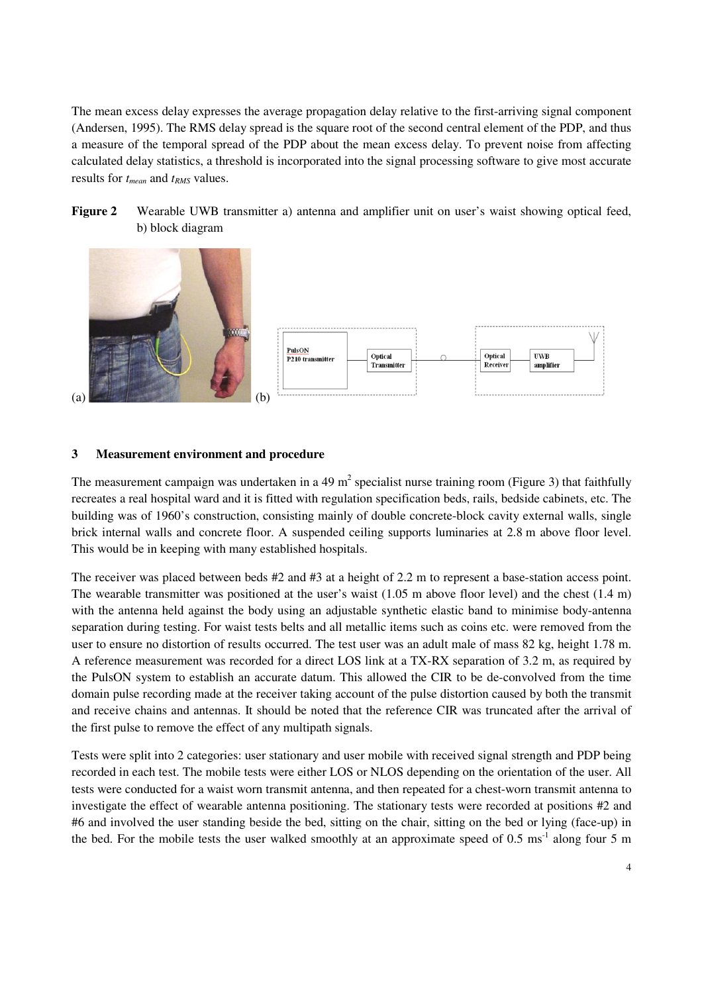The mean excess delay expresses the average propagation delay relative to the first-arriving signal component (Andersen, 1995). The RMS delay spread is the square root of the second central element of the PDP, and thus a measure of the temporal spread of the PDP about the mean excess delay. To prevent noise from affecting calculated delay statistics, a threshold is incorporated into the signal processing software to give most accurate results for *tmean* and *tRMS* values.

**Figure 2** Wearable UWB transmitter a) antenna and amplifier unit on user's waist showing optical feed, b) block diagram



### **3 Measurement environment and procedure**

The measurement campaign was undertaken in a 49 m<sup>2</sup> specialist nurse training room (Figure 3) that faithfully recreates a real hospital ward and it is fitted with regulation specification beds, rails, bedside cabinets, etc. The building was of 1960's construction, consisting mainly of double concrete-block cavity external walls, single brick internal walls and concrete floor. A suspended ceiling supports luminaries at 2.8 m above floor level. This would be in keeping with many established hospitals.

The receiver was placed between beds #2 and #3 at a height of 2.2 m to represent a base-station access point. The wearable transmitter was positioned at the user's waist (1.05 m above floor level) and the chest (1.4 m) with the antenna held against the body using an adjustable synthetic elastic band to minimise body-antenna separation during testing. For waist tests belts and all metallic items such as coins etc. were removed from the user to ensure no distortion of results occurred. The test user was an adult male of mass 82 kg, height 1.78 m. A reference measurement was recorded for a direct LOS link at a TX-RX separation of 3.2 m, as required by the PulsON system to establish an accurate datum. This allowed the CIR to be de-convolved from the time domain pulse recording made at the receiver taking account of the pulse distortion caused by both the transmit and receive chains and antennas. It should be noted that the reference CIR was truncated after the arrival of the first pulse to remove the effect of any multipath signals.

Tests were split into 2 categories: user stationary and user mobile with received signal strength and PDP being recorded in each test. The mobile tests were either LOS or NLOS depending on the orientation of the user. All tests were conducted for a waist worn transmit antenna, and then repeated for a chest-worn transmit antenna to investigate the effect of wearable antenna positioning. The stationary tests were recorded at positions #2 and #6 and involved the user standing beside the bed, sitting on the chair, sitting on the bed or lying (face-up) in the bed. For the mobile tests the user walked smoothly at an approximate speed of  $0.5 \text{ ms}^{-1}$  along four 5 m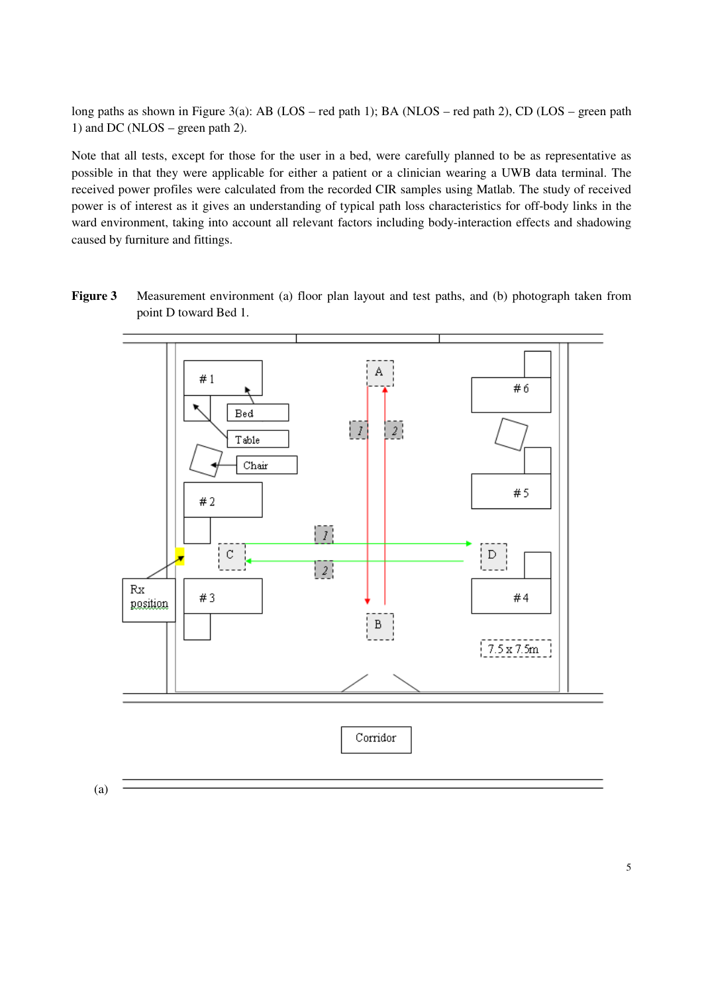long paths as shown in Figure 3(a): AB (LOS – red path 1); BA (NLOS – red path 2), CD (LOS – green path 1) and DC (NLOS – green path 2).

Note that all tests, except for those for the user in a bed, were carefully planned to be as representative as possible in that they were applicable for either a patient or a clinician wearing a UWB data terminal. The received power profiles were calculated from the recorded CIR samples using Matlab. The study of received power is of interest as it gives an understanding of typical path loss characteristics for off-body links in the ward environment, taking into account all relevant factors including body-interaction effects and shadowing caused by furniture and fittings.

**Figure 3** Measurement environment (a) floor plan layout and test paths, and (b) photograph taken from point D toward Bed 1.

![](_page_4_Figure_3.jpeg)

(a)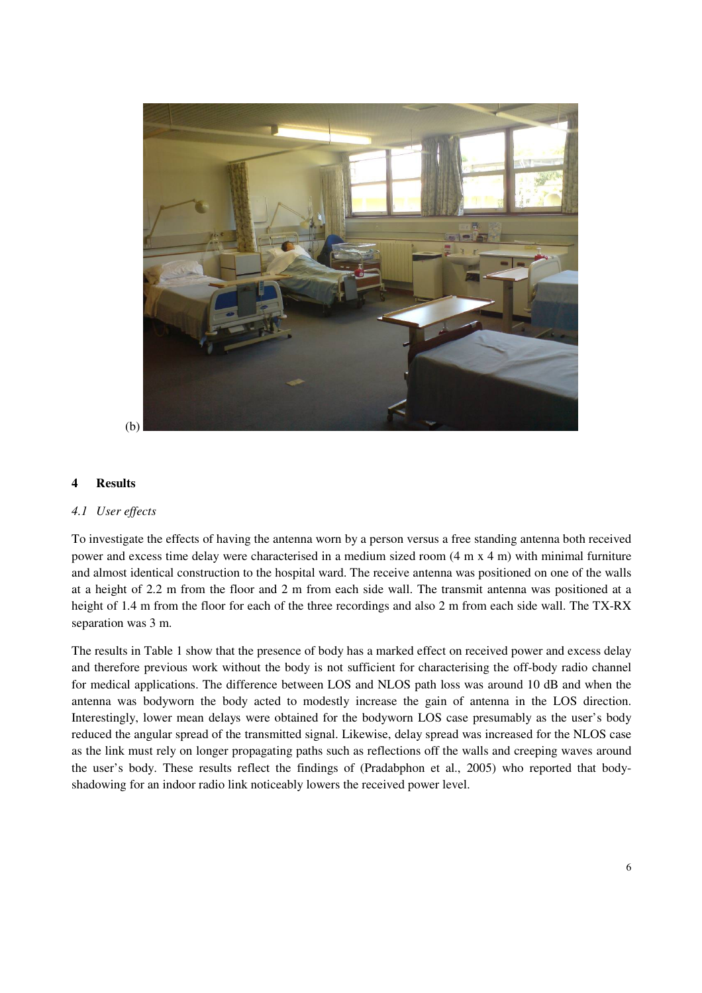![](_page_5_Picture_0.jpeg)

### **4 Results**

### *4.1 User effects*

To investigate the effects of having the antenna worn by a person versus a free standing antenna both received power and excess time delay were characterised in a medium sized room (4 m x 4 m) with minimal furniture and almost identical construction to the hospital ward. The receive antenna was positioned on one of the walls at a height of 2.2 m from the floor and 2 m from each side wall. The transmit antenna was positioned at a height of 1.4 m from the floor for each of the three recordings and also 2 m from each side wall. The TX-RX separation was 3 m.

The results in Table 1 show that the presence of body has a marked effect on received power and excess delay and therefore previous work without the body is not sufficient for characterising the off-body radio channel for medical applications. The difference between LOS and NLOS path loss was around 10 dB and when the antenna was bodyworn the body acted to modestly increase the gain of antenna in the LOS direction. Interestingly, lower mean delays were obtained for the bodyworn LOS case presumably as the user's body reduced the angular spread of the transmitted signal. Likewise, delay spread was increased for the NLOS case as the link must rely on longer propagating paths such as reflections off the walls and creeping waves around the user's body. These results reflect the findings of (Pradabphon et al., 2005) who reported that bodyshadowing for an indoor radio link noticeably lowers the received power level.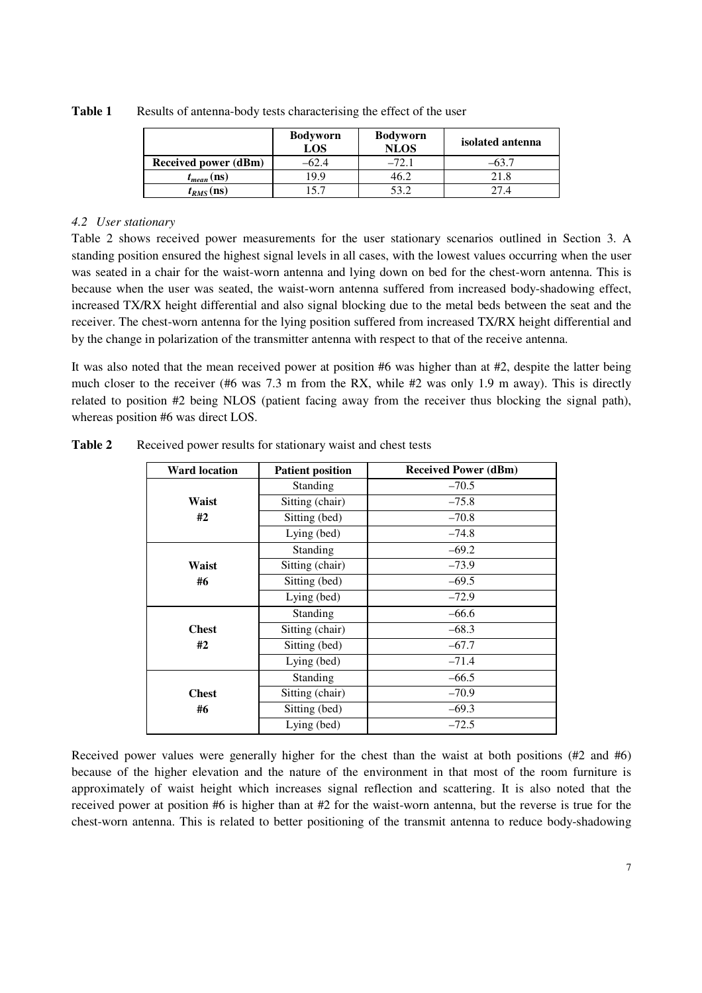|                             | <b>Bodyworn</b><br>LOS | <b>Bodyworn</b><br><b>NLOS</b> | isolated antenna |
|-----------------------------|------------------------|--------------------------------|------------------|
| <b>Received power (dBm)</b> | $-02.4$                | $-72.1$                        |                  |
| $t_{mean}$ (ns)             | 9.9                    | 46.∠                           | 21.8             |
| $t_{RMS}$ (ns)              |                        |                                | 17 A             |

**Table 1** Results of antenna-body tests characterising the effect of the user

## *4.2 User stationary*

Table 2 shows received power measurements for the user stationary scenarios outlined in Section 3. A standing position ensured the highest signal levels in all cases, with the lowest values occurring when the user was seated in a chair for the waist-worn antenna and lying down on bed for the chest-worn antenna. This is because when the user was seated, the waist-worn antenna suffered from increased body-shadowing effect, increased TX/RX height differential and also signal blocking due to the metal beds between the seat and the receiver. The chest-worn antenna for the lying position suffered from increased TX/RX height differential and by the change in polarization of the transmitter antenna with respect to that of the receive antenna.

It was also noted that the mean received power at position #6 was higher than at #2, despite the latter being much closer to the receiver (#6 was 7.3 m from the RX, while #2 was only 1.9 m away). This is directly related to position #2 being NLOS (patient facing away from the receiver thus blocking the signal path), whereas position #6 was direct LOS.

| <b>Ward location</b> | <b>Patient position</b> | <b>Received Power (dBm)</b> |  |  |
|----------------------|-------------------------|-----------------------------|--|--|
|                      | Standing                | $-70.5$                     |  |  |
| Waist                | Sitting (chair)         | $-75.8$                     |  |  |
| #2                   | Sitting (bed)           | $-70.8$                     |  |  |
|                      | Lying (bed)             | $-74.8$                     |  |  |
|                      | Standing                | $-69.2$                     |  |  |
| Waist                | Sitting (chair)         | $-73.9$                     |  |  |
| #6                   | Sitting (bed)           | $-69.5$                     |  |  |
|                      | Lying (bed)             | $-72.9$                     |  |  |
|                      | Standing                | $-66.6$                     |  |  |
| <b>Chest</b>         | Sitting (chair)         | $-68.3$                     |  |  |
| #2                   | Sitting (bed)           | $-67.7$                     |  |  |
|                      | Lying (bed)             | $-71.4$                     |  |  |
|                      | Standing                | $-66.5$                     |  |  |
| <b>Chest</b>         | Sitting (chair)         | $-70.9$                     |  |  |
| #6                   | Sitting (bed)           | $-69.3$                     |  |  |
|                      | Lying (bed)             | $-72.5$                     |  |  |

**Table 2** Received power results for stationary waist and chest tests

Received power values were generally higher for the chest than the waist at both positions (#2 and #6) because of the higher elevation and the nature of the environment in that most of the room furniture is approximately of waist height which increases signal reflection and scattering. It is also noted that the received power at position #6 is higher than at #2 for the waist-worn antenna, but the reverse is true for the chest-worn antenna. This is related to better positioning of the transmit antenna to reduce body-shadowing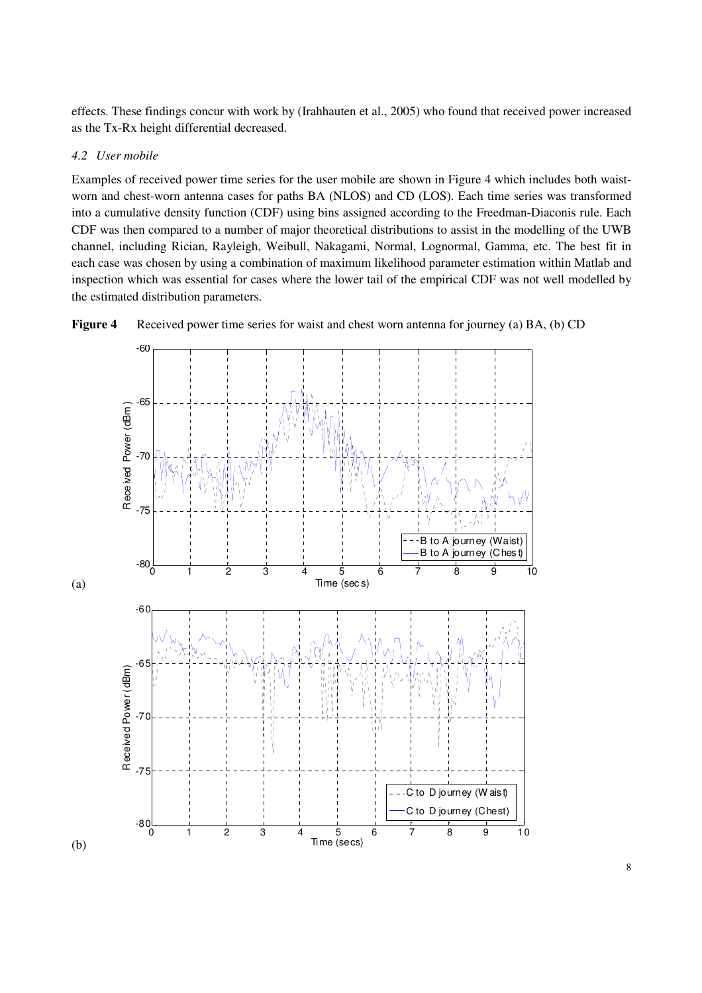effects. These findings concur with work by (Irahhauten et al., 2005) who found that received power increased as the Tx-Rx height differential decreased.

### *4.2 User mobile*

Examples of received power time series for the user mobile are shown in Figure 4 which includes both waistworn and chest-worn antenna cases for paths BA (NLOS) and CD (LOS). Each time series was transformed into a cumulative density function (CDF) using bins assigned according to the Freedman-Diaconis rule. Each CDF was then compared to a number of major theoretical distributions to assist in the modelling of the UWB channel, including Rician, Rayleigh, Weibull, Nakagami, Normal, Lognormal, Gamma, etc. The best fit in each case was chosen by using a combination of maximum likelihood parameter estimation within Matlab and inspection which was essential for cases where the lower tail of the empirical CDF was not well modelled by the estimated distribution parameters.

![](_page_7_Figure_3.jpeg)

**Figure 4** Received power time series for waist and chest worn antenna for journey (a) BA, (b) CD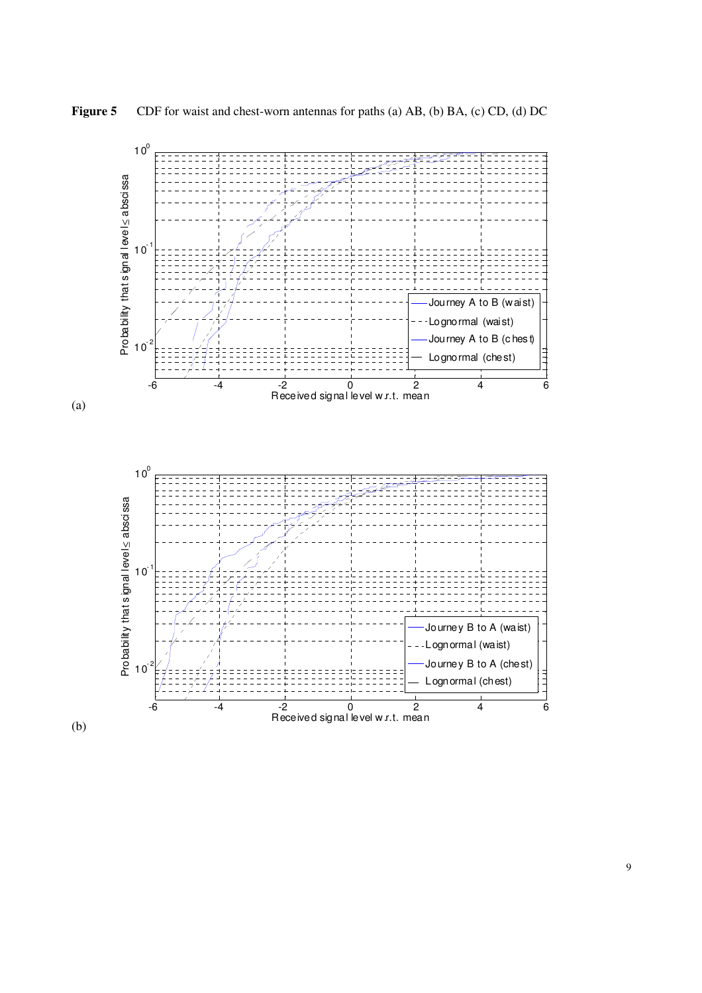![](_page_8_Figure_0.jpeg)

![](_page_8_Figure_1.jpeg)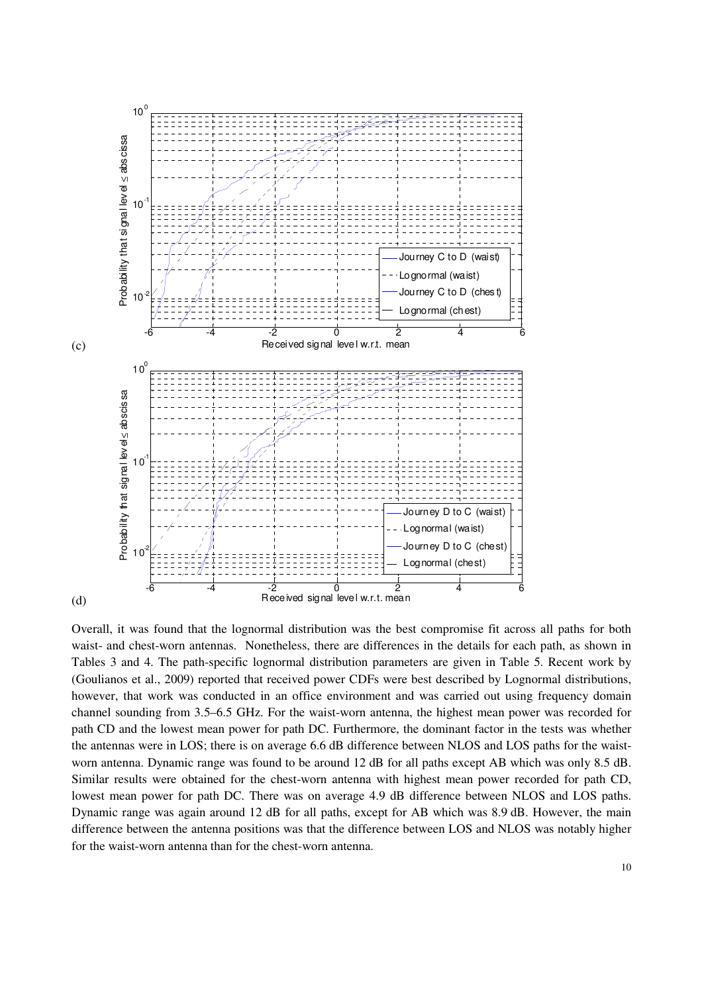![](_page_9_Figure_0.jpeg)

Overall, it was found that the lognormal distribution was the best compromise fit across all paths for both waist- and chest-worn antennas. Nonetheless, there are differences in the details for each path, as shown in Tables 3 and 4. The path-specific lognormal distribution parameters are given in Table 5. Recent work by (Goulianos et al., 2009) reported that received power CDFs were best described by Lognormal distributions, however, that work was conducted in an office environment and was carried out using frequency domain channel sounding from 3.5–6.5 GHz. For the waist-worn antenna, the highest mean power was recorded for path CD and the lowest mean power for path DC. Furthermore, the dominant factor in the tests was whether the antennas were in LOS; there is on average 6.6 dB difference between NLOS and LOS paths for the waistworn antenna. Dynamic range was found to be around 12 dB for all paths except AB which was only 8.5 dB. Similar results were obtained for the chest-worn antenna with highest mean power recorded for path CD, lowest mean power for path DC. There was on average 4.9 dB difference between NLOS and LOS paths. Dynamic range was again around 12 dB for all paths, except for AB which was 8.9 dB. However, the main difference between the antenna positions was that the difference between LOS and NLOS was notably higher for the waist-worn antenna than for the chest-worn antenna.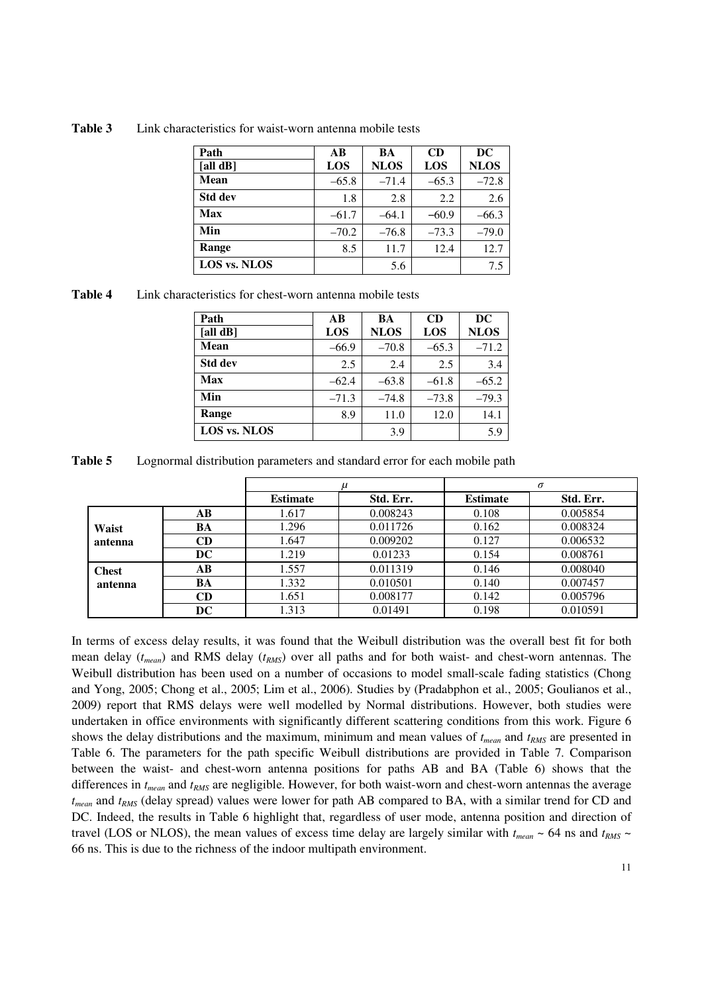| Path           | $\overline{AB}$ | BA          | CD      | DC          |
|----------------|-----------------|-------------|---------|-------------|
| [all $dB$ ]    | LOS             | <b>NLOS</b> | LOS     | <b>NLOS</b> |
| <b>Mean</b>    | $-65.8$         | $-71.4$     | $-65.3$ | $-72.8$     |
| <b>Std dev</b> | 1.8             | 2.8         | 2.2     | 2.6         |
| <b>Max</b>     | $-61.7$         | $-64.1$     | $-60.9$ | $-66.3$     |
| Min            | $-70.2$         | $-76.8$     | $-73.3$ | $-79.0$     |
| Range          | 8.5             | 11.7        | 12.4    | 12.7        |
| LOS vs. NLOS   |                 | 5.6         |         | 7.5         |

**Table 3** Link characteristics for waist-worn antenna mobile tests

**Table 4** Link characteristics for chest-worn antenna mobile tests

| Path                | $\overline{AB}$ | BA          | CD      | <b>DC</b>   |
|---------------------|-----------------|-------------|---------|-------------|
| [all $dB$ ]         | LOS             | <b>NLOS</b> | LOS     | <b>NLOS</b> |
| <b>Mean</b>         | $-66.9$         | $-70.8$     | $-65.3$ | $-71.2$     |
| <b>Std dev</b>      | 2.5             | 2.4         | 2.5     | 3.4         |
| Max                 | $-62.4$         | $-63.8$     | $-61.8$ | $-65.2$     |
| Min                 | $-71.3$         | $-74.8$     | $-73.8$ | $-79.3$     |
| Range               | 8.9             | 11.0        | 12.0    | 14.1        |
| <b>LOS vs. NLOS</b> |                 | 3.9         |         | 5.9         |

**Table 5** Lognormal distribution parameters and standard error for each mobile path

|              |           |                 |           |                 | $\sigma$  |
|--------------|-----------|-----------------|-----------|-----------------|-----------|
|              |           | <b>Estimate</b> | Std. Err. | <b>Estimate</b> | Std. Err. |
|              | $\bf AB$  | 1.617           | 0.008243  | 0.108           | 0.005854  |
| Waist        | BA        | 1.296           | 0.011726  | 0.162           | 0.008324  |
| antenna      | <b>CD</b> | 1.647           | 0.009202  | 0.127           | 0.006532  |
|              | DC.       | 1.219           | 0.01233   | 0.154           | 0.008761  |
| <b>Chest</b> | AB        | 1.557           | 0.011319  | 0.146           | 0.008040  |
| antenna      | BA        | 1.332           | 0.010501  | 0.140           | 0.007457  |
|              | CD        | 1.651           | 0.008177  | 0.142           | 0.005796  |
|              | DC.       | 1.313           | 0.01491   | 0.198           | 0.010591  |

In terms of excess delay results, it was found that the Weibull distribution was the overall best fit for both mean delay (*tmean*) and RMS delay (*tRMS*) over all paths and for both waist- and chest-worn antennas. The Weibull distribution has been used on a number of occasions to model small-scale fading statistics (Chong and Yong, 2005; Chong et al., 2005; Lim et al., 2006). Studies by (Pradabphon et al., 2005; Goulianos et al., 2009) report that RMS delays were well modelled by Normal distributions. However, both studies were undertaken in office environments with significantly different scattering conditions from this work. Figure 6 shows the delay distributions and the maximum, minimum and mean values of *tmean* and *tRMS* are presented in Table 6. The parameters for the path specific Weibull distributions are provided in Table 7. Comparison between the waist- and chest-worn antenna positions for paths AB and BA (Table 6) shows that the differences in *tmean* and *tRMS* are negligible. However, for both waist-worn and chest-worn antennas the average *tmean* and *tRMS* (delay spread) values were lower for path AB compared to BA, with a similar trend for CD and DC. Indeed, the results in Table 6 highlight that, regardless of user mode, antenna position and direction of travel (LOS or NLOS), the mean values of excess time delay are largely similar with  $t_{mean} \sim 64$  ns and  $t_{RMS} \sim$ 66 ns. This is due to the richness of the indoor multipath environment.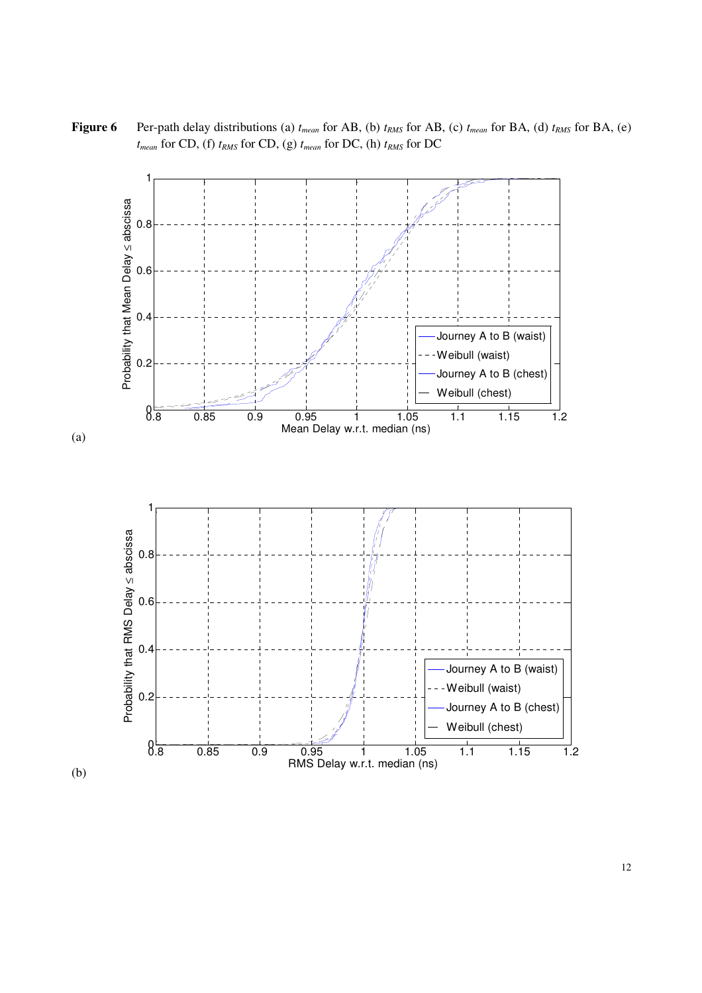**Figure 6** Per-path delay distributions (a) *tmean* for AB, (b) *tRMS* for AB, (c) *tmean* for BA, (d) *tRMS* for BA, (e) *tmean* for CD, (f) *tRMS* for CD, (g) *tmean* for DC, (h) *tRMS* for DC

![](_page_11_Figure_1.jpeg)

(b)

(a)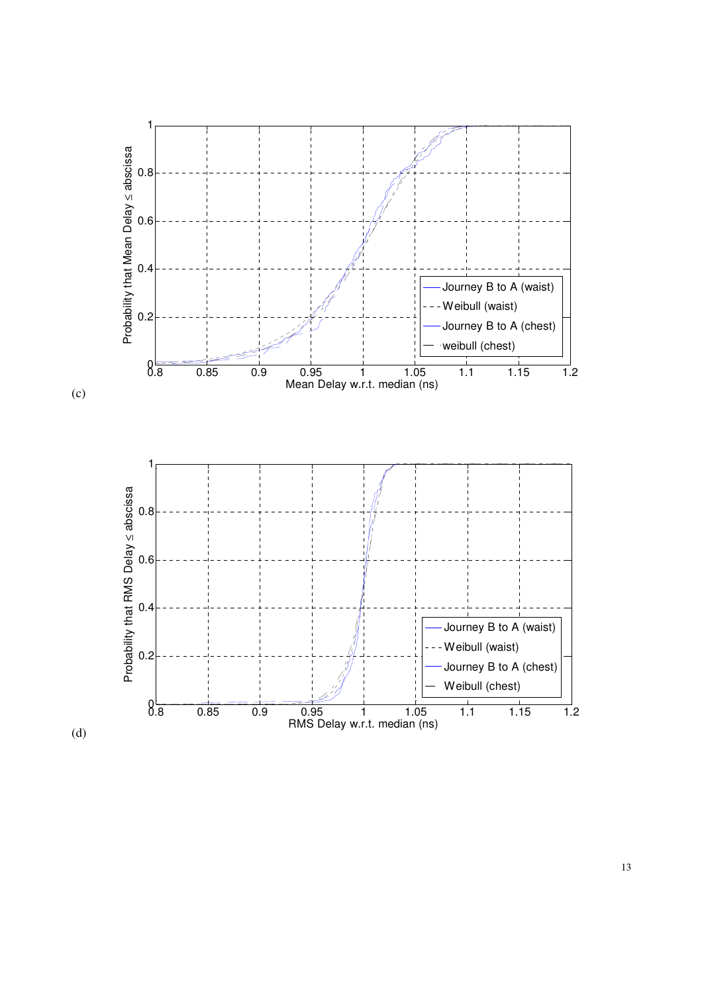![](_page_12_Figure_0.jpeg)

(c)

![](_page_12_Figure_2.jpeg)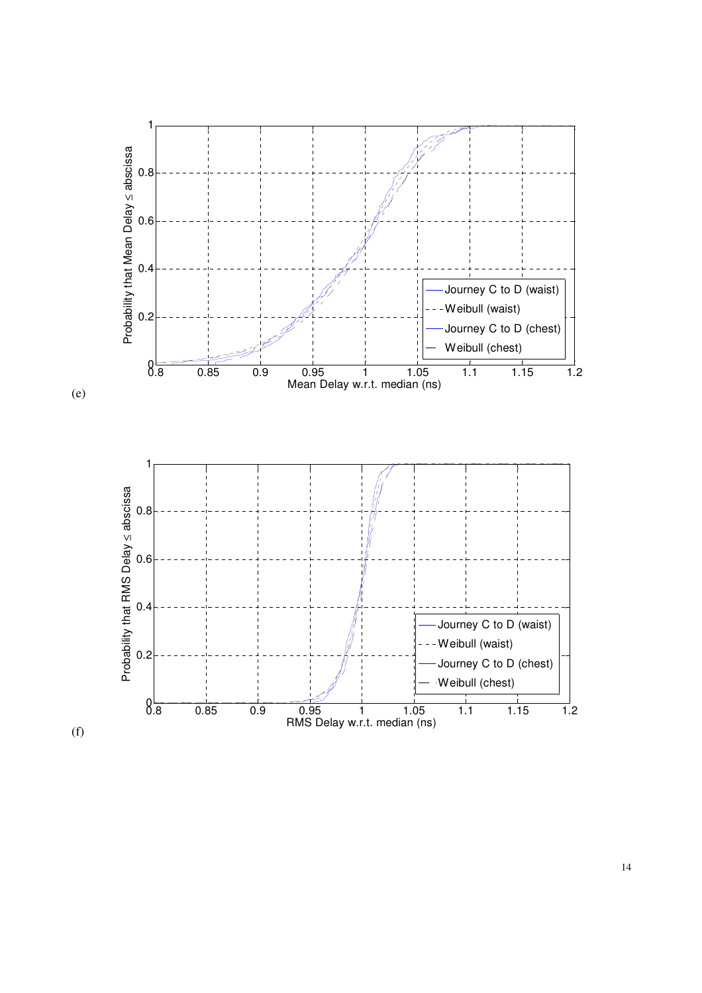![](_page_13_Figure_0.jpeg)

(e)

![](_page_13_Figure_2.jpeg)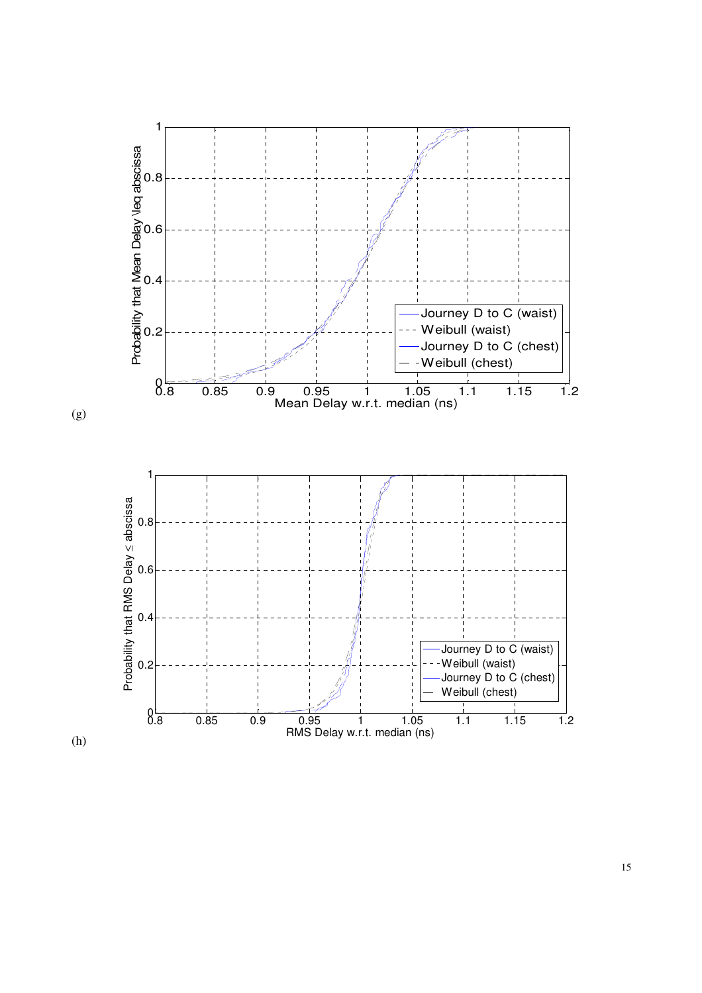![](_page_14_Figure_0.jpeg)

(g)

![](_page_14_Figure_2.jpeg)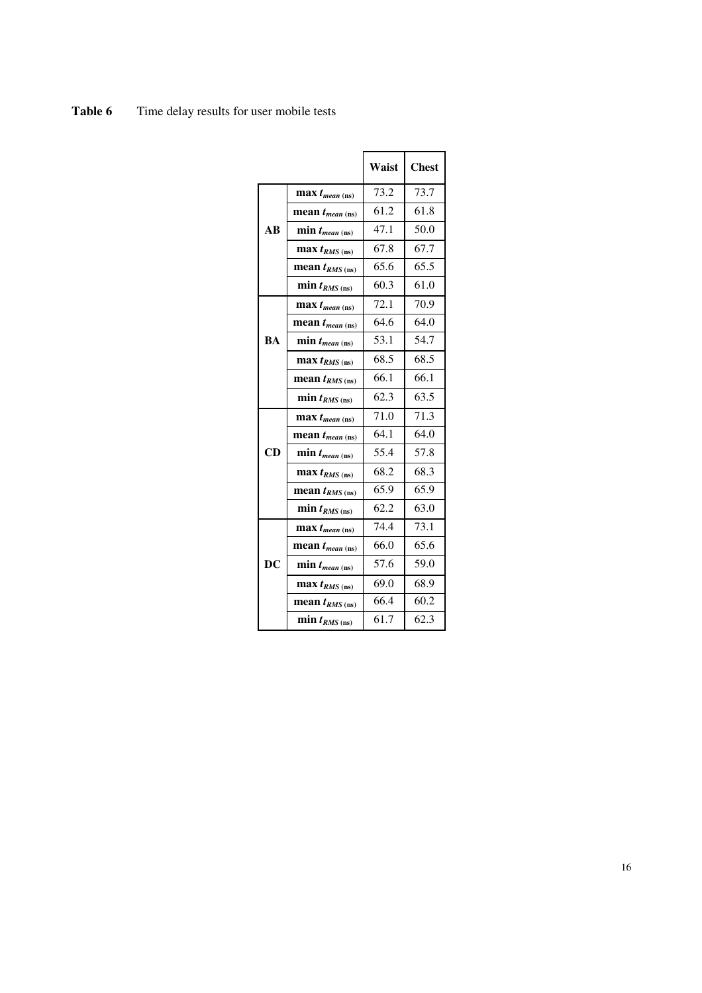Table 6 Time delay results for user mobile tests

|                                   |                             | Waist | <b>Chest</b> |
|-----------------------------------|-----------------------------|-------|--------------|
|                                   | $\max t_{mean \, (ns)}$     | 73.2  | 73.7         |
|                                   | mean $t_{mean \, (ns)}$     | 61.2  | 61.8         |
| AB                                | $min t_{mean (ns)}$         | 47.1  | 50.0         |
|                                   | $\max t_{RMS \text{ (ns)}}$ | 67.8  | 67.7         |
|                                   | mean $t_{RMS \text{ (ns)}}$ | 65.6  | 65.5         |
|                                   | $min t_{RMS \text{ (ns)}}$  | 60.3  | 61.0         |
|                                   | $\max t_{mean \, (ns)}$     | 72.1  | 70.9         |
|                                   | mean $t_{mean \, (ns)}$     | 64.6  | 64.0         |
| <b>BA</b>                         | $min t_{mean (ns)}$         | 53.1  | 54.7         |
|                                   | $\max t_{RMS \, (ns)}$      | 68.5  | 68.5         |
|                                   | mean $t_{RMS \text{ (ns)}}$ | 66.1  | 66.1         |
|                                   | $min t_{RMS \text{ (ns)}}$  | 62.3  | 63.5         |
|                                   | $\max t_{mean \, (ns)}$     | 71.0  | 71.3         |
|                                   | mean $t_{mean \, (ns)}$     | 64.1  | 64.0         |
| CD                                | $min t_{mean (ns)}$         | 55.4  | 57.8         |
|                                   | $\max t_{RMS \text{ (ns)}}$ | 68.2  | 68.3         |
|                                   | mean $t_{RMS \, (\rm ns)}$  | 65.9  | 65.9         |
|                                   | $min t_{RMS \text{ (ns)}}$  | 62.2  | 63.0         |
|                                   | $\max t_{mean \, (ns)}$     | 74.4  | 73.1         |
|                                   | mean $t_{mean \, (ns)}$     | 66.0  | 65.6         |
| $\overline{\mathbf{D}\mathbf{C}}$ | $min t_{mean (ns)}$         | 57.6  | 59.0         |
|                                   | $\max t_{RMS \text{ (ns)}}$ | 69.0  | 68.9         |
|                                   | mean $t_{RMS \text{ (ns)}}$ | 66.4  | 60.2         |
|                                   | $min t_{RMS \text{ (ns)}}$  | 61.7  | 62.3         |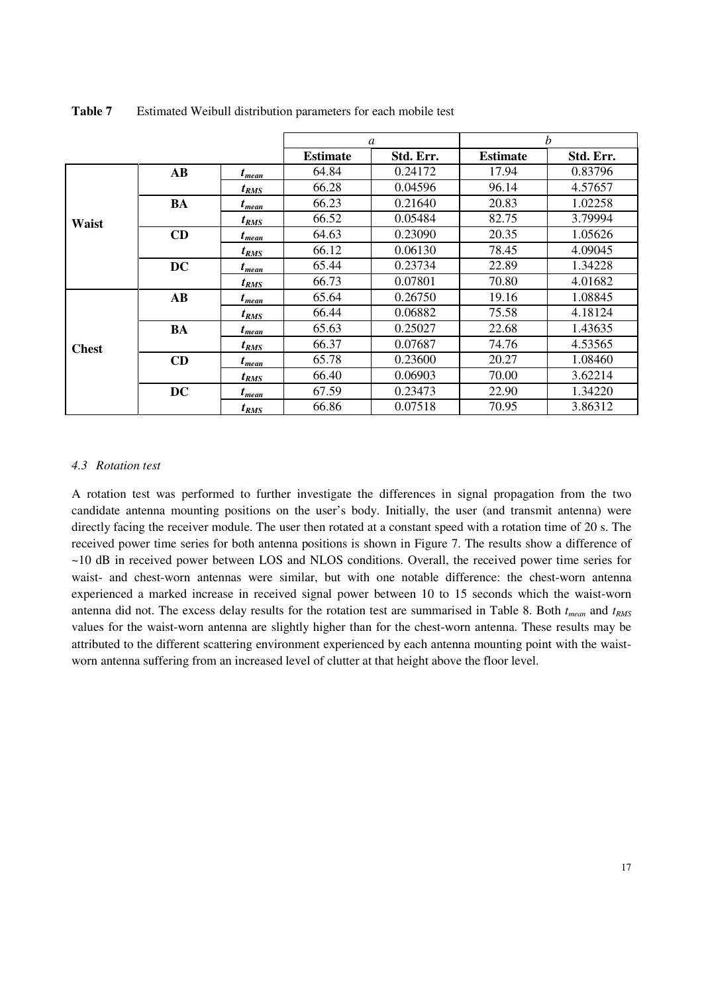|              |                        |            | a               |           | h               |           |
|--------------|------------------------|------------|-----------------|-----------|-----------------|-----------|
|              |                        |            | <b>Estimate</b> | Std. Err. | <b>Estimate</b> | Std. Err. |
|              | $\mathbf{A}\mathbf{B}$ | $t_{mean}$ | 64.84           | 0.24172   | 17.94           | 0.83796   |
|              |                        | $t_{RMS}$  | 66.28           | 0.04596   | 96.14           | 4.57657   |
|              | <b>BA</b>              | $t_{mean}$ | 66.23           | 0.21640   | 20.83           | 1.02258   |
| Waist        |                        | $t_{RMS}$  | 66.52           | 0.05484   | 82.75           | 3.79994   |
|              | CD                     | $t_{mean}$ | 64.63           | 0.23090   | 20.35           | 1.05626   |
|              |                        | $t_{RMS}$  | 66.12           | 0.06130   | 78.45           | 4.09045   |
|              | <b>DC</b>              | $t_{mean}$ | 65.44           | 0.23734   | 22.89           | 1.34228   |
|              |                        | $t_{RMS}$  | 66.73           | 0.07801   | 70.80           | 4.01682   |
|              | $\mathbf{A}\mathbf{B}$ | $t_{mean}$ | 65.64           | 0.26750   | 19.16           | 1.08845   |
| <b>Chest</b> |                        | $t_{RMS}$  | 66.44           | 0.06882   | 75.58           | 4.18124   |
|              | <b>BA</b>              | $t_{mean}$ | 65.63           | 0.25027   | 22.68           | 1.43635   |
|              |                        | $t_{RMS}$  | 66.37           | 0.07687   | 74.76           | 4.53565   |
|              | CD                     | $t_{mean}$ | 65.78           | 0.23600   | 20.27           | 1.08460   |
|              |                        | $t_{RMS}$  | 66.40           | 0.06903   | 70.00           | 3.62214   |
|              | <b>DC</b>              | $t_{mean}$ | 67.59           | 0.23473   | 22.90           | 1.34220   |
|              |                        | $t_{RMS}$  | 66.86           | 0.07518   | 70.95           | 3.86312   |

Table 7 Estimated Weibull distribution parameters for each mobile test

### *4.3 Rotation test*

A rotation test was performed to further investigate the differences in signal propagation from the two candidate antenna mounting positions on the user's body. Initially, the user (and transmit antenna) were directly facing the receiver module. The user then rotated at a constant speed with a rotation time of 20 s. The received power time series for both antenna positions is shown in Figure 7. The results show a difference of ~10 dB in received power between LOS and NLOS conditions. Overall, the received power time series for waist- and chest-worn antennas were similar, but with one notable difference: the chest-worn antenna experienced a marked increase in received signal power between 10 to 15 seconds which the waist-worn antenna did not. The excess delay results for the rotation test are summarised in Table 8. Both *tmean* and *tRMS* values for the waist-worn antenna are slightly higher than for the chest-worn antenna. These results may be attributed to the different scattering environment experienced by each antenna mounting point with the waistworn antenna suffering from an increased level of clutter at that height above the floor level.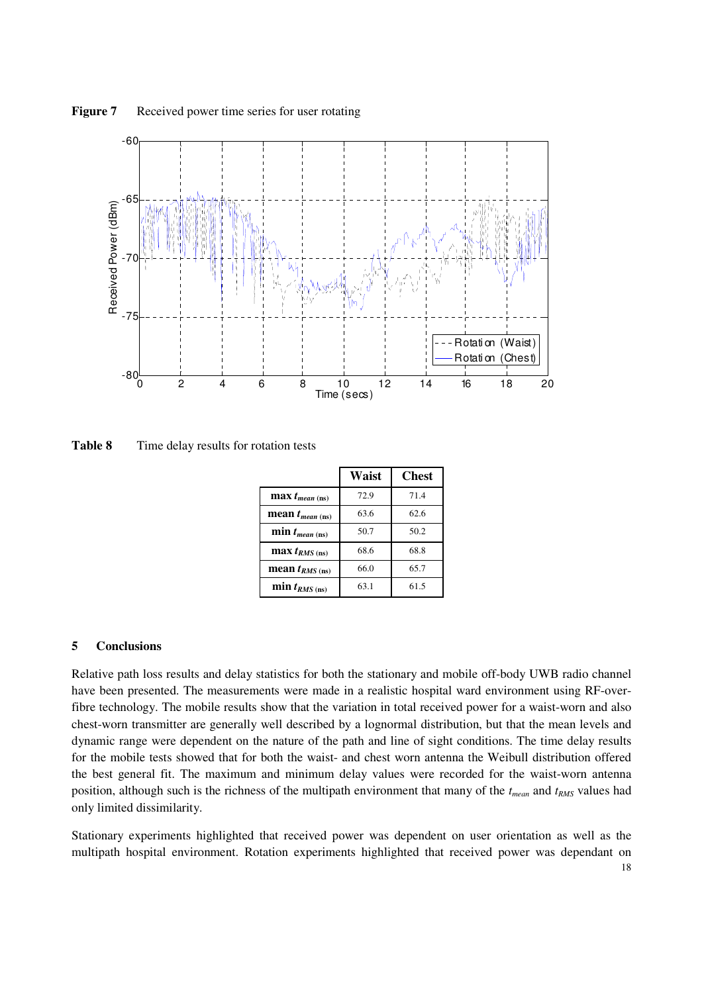![](_page_17_Figure_0.jpeg)

**Figure 7** Received power time series for user rotating

**Table 8** Time delay results for rotation tests

|                            | Waist | <b>Chest</b> |
|----------------------------|-------|--------------|
| $\max t_{mean \, (ns)}$    | 72.9  | 71.4         |
| mean $t_{mean \, (ns)}$    | 63.6  | 62.6         |
| $min t_{mean (ns)}$        | 50.7  | 50.2         |
| $\max t_{RMS \, (ns)}$     | 68.6  | 68.8         |
| mean $t_{RMS \, (\rm ns)}$ | 66.0  | 65.7         |
| $min t_{RMS \, (ns)}$      | 63.1  | 61.5         |

### **5 Conclusions**

Relative path loss results and delay statistics for both the stationary and mobile off-body UWB radio channel have been presented. The measurements were made in a realistic hospital ward environment using RF-overfibre technology. The mobile results show that the variation in total received power for a waist-worn and also chest-worn transmitter are generally well described by a lognormal distribution, but that the mean levels and dynamic range were dependent on the nature of the path and line of sight conditions. The time delay results for the mobile tests showed that for both the waist- and chest worn antenna the Weibull distribution offered the best general fit. The maximum and minimum delay values were recorded for the waist-worn antenna position, although such is the richness of the multipath environment that many of the *tmean* and *tRMS* values had only limited dissimilarity.

Stationary experiments highlighted that received power was dependent on user orientation as well as the multipath hospital environment. Rotation experiments highlighted that received power was dependant on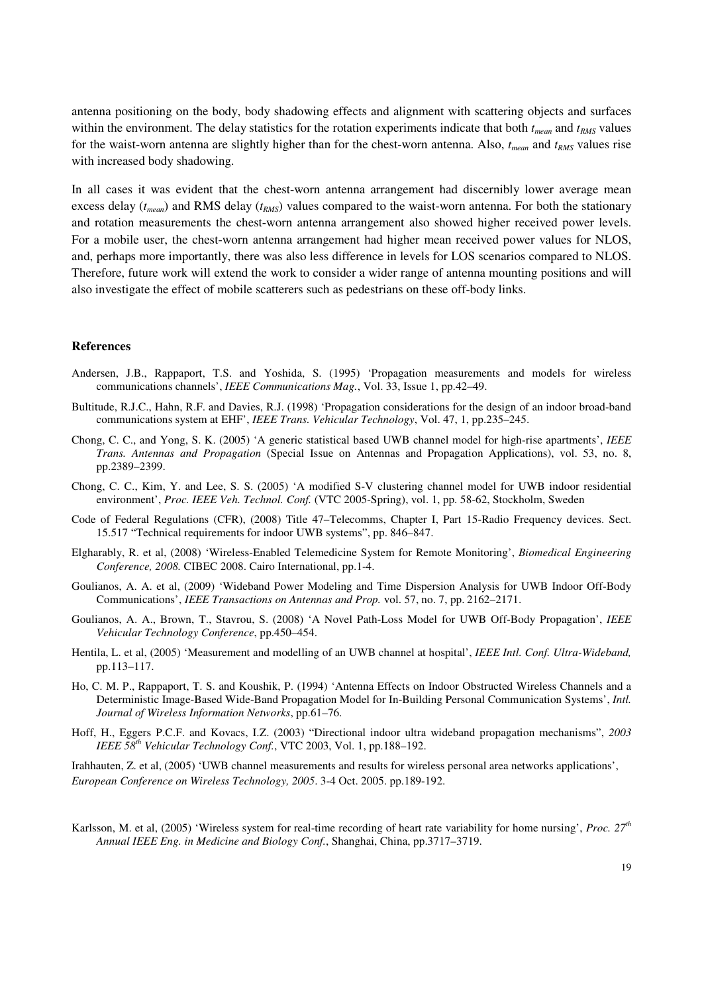antenna positioning on the body, body shadowing effects and alignment with scattering objects and surfaces within the environment. The delay statistics for the rotation experiments indicate that both *tmean* and *tRMS* values for the waist-worn antenna are slightly higher than for the chest-worn antenna. Also, *tmean* and *tRMS* values rise with increased body shadowing.

In all cases it was evident that the chest-worn antenna arrangement had discernibly lower average mean excess delay (*tmean*) and RMS delay (*tRMS*) values compared to the waist-worn antenna. For both the stationary and rotation measurements the chest-worn antenna arrangement also showed higher received power levels. For a mobile user, the chest-worn antenna arrangement had higher mean received power values for NLOS, and, perhaps more importantly, there was also less difference in levels for LOS scenarios compared to NLOS. Therefore, future work will extend the work to consider a wider range of antenna mounting positions and will also investigate the effect of mobile scatterers such as pedestrians on these off-body links.

#### **References**

- Andersen, J.B., Rappaport, T.S. and Yoshida, S. (1995) 'Propagation measurements and models for wireless communications channels', *IEEE Communications Mag.*, Vol. 33, Issue 1, pp.42–49.
- Bultitude, R.J.C., Hahn, R.F. and Davies, R.J. (1998) 'Propagation considerations for the design of an indoor broad-band communications system at EHF', *IEEE Trans. Vehicular Technology*, Vol. 47, 1, pp.235–245.
- Chong, C. C., and Yong, S. K. (2005) 'A generic statistical based UWB channel model for high-rise apartments', *IEEE Trans. Antennas and Propagation* (Special Issue on Antennas and Propagation Applications), vol. 53, no. 8, pp.2389–2399.
- Chong, C. C., Kim, Y. and Lee, S. S. (2005) 'A modified S-V clustering channel model for UWB indoor residential environment', *Proc. IEEE Veh. Technol. Conf.* (VTC 2005-Spring), vol. 1, pp. 58-62, Stockholm, Sweden
- Code of Federal Regulations (CFR), (2008) Title 47–Telecomms, Chapter I, Part 15-Radio Frequency devices. Sect. 15.517 "Technical requirements for indoor UWB systems", pp. 846–847.
- Elgharably, R. et al, (2008) 'Wireless-Enabled Telemedicine System for Remote Monitoring', *Biomedical Engineering Conference, 2008.* CIBEC 2008. Cairo International, pp.1-4.
- Goulianos, A. A. et al, (2009) 'Wideband Power Modeling and Time Dispersion Analysis for UWB Indoor Off-Body Communications', *IEEE Transactions on Antennas and Prop.* vol. 57, no. 7, pp. 2162–2171.
- Goulianos, A. A., Brown, T., Stavrou, S. (2008) 'A Novel Path-Loss Model for UWB Off-Body Propagation', *IEEE Vehicular Technology Conference*, pp.450–454.
- Hentila, L. et al, (2005) 'Measurement and modelling of an UWB channel at hospital', *IEEE Intl. Conf. Ultra-Wideband,* pp.113–117.
- Ho, C. M. P., Rappaport, T. S. and Koushik, P. (1994) 'Antenna Effects on Indoor Obstructed Wireless Channels and a Deterministic Image-Based Wide-Band Propagation Model for In-Building Personal Communication Systems', *Intl. Journal of Wireless Information Networks*, pp.61–76.
- Hoff, H., Eggers P.C.F. and Kovacs, I.Z. (2003) "Directional indoor ultra wideband propagation mechanisms", *2003 IEEE 58th Vehicular Technology Conf.*, VTC 2003, Vol. 1, pp.188–192.

Irahhauten, Z. et al, (2005) 'UWB channel measurements and results for wireless personal area networks applications', *European Conference on Wireless Technology, 2005*. 3-4 Oct. 2005. pp.189-192.

Karlsson, M. et al, (2005) 'Wireless system for real-time recording of heart rate variability for home nursing', *Proc. 27th Annual IEEE Eng. in Medicine and Biology Conf.*, Shanghai, China, pp.3717–3719.